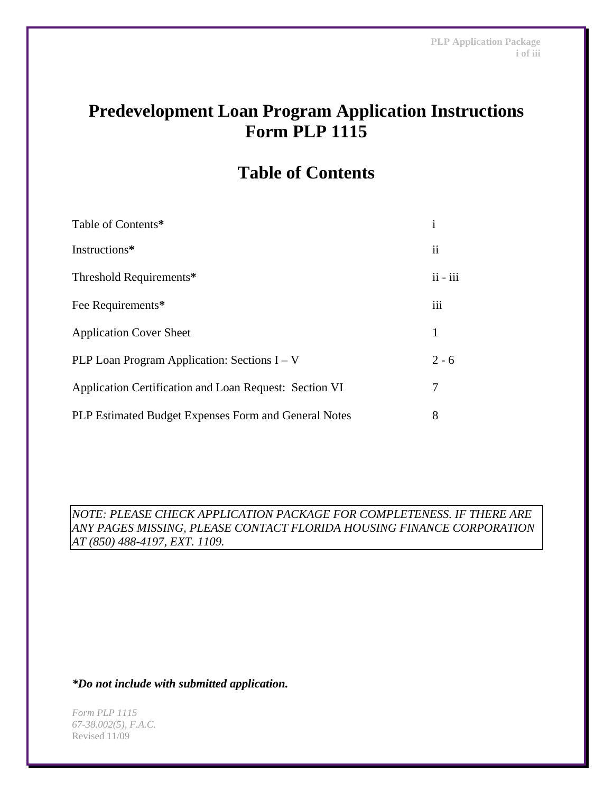# **Predevelopment Loan Program Application Instructions Form PLP 1115**

# **Table of Contents**

| Table of Contents*                                     | 1                   |
|--------------------------------------------------------|---------------------|
| Instructions*                                          | $\ddot{\mathbf{i}}$ |
| Threshold Requirements*                                | $ii - iii$          |
| Fee Requirements*                                      | iii                 |
| <b>Application Cover Sheet</b>                         | 1                   |
| PLP Loan Program Application: Sections $I - V$         | $2 - 6$             |
| Application Certification and Loan Request: Section VI | 7                   |
| PLP Estimated Budget Expenses Form and General Notes   | 8                   |

*NOTE: PLEASE CHECK APPLICATION PACKAGE FOR COMPLETENESS. IF THERE ARE ANY PAGES MISSING, PLEASE CONTACT FLORIDA HOUSING FINANCE CORPORATION AT (850) 488-4197, EXT. 1109.* 

*\*Do not include with submitted application.*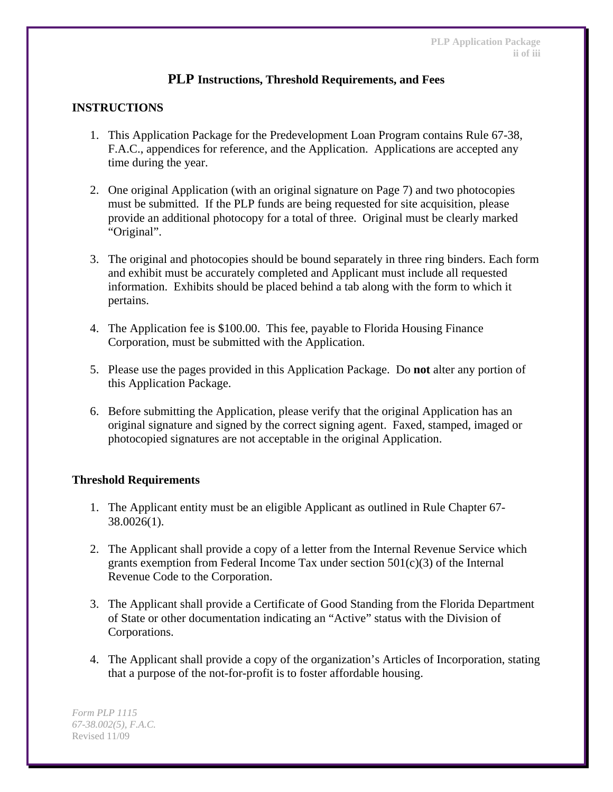# **PLP Instructions, Threshold Requirements, and Fees**

# **INSTRUCTIONS**

- 1. This Application Package for the Predevelopment Loan Program contains Rule 67-38, F.A.C., appendices for reference, and the Application. Applications are accepted any time during the year.
- 2. One original Application (with an original signature on Page 7) and two photocopies must be submitted. If the PLP funds are being requested for site acquisition, please provide an additional photocopy for a total of three. Original must be clearly marked "Original".
- 3. The original and photocopies should be bound separately in three ring binders. Each form and exhibit must be accurately completed and Applicant must include all requested information. Exhibits should be placed behind a tab along with the form to which it pertains.
- 4. The Application fee is \$100.00. This fee, payable to Florida Housing Finance Corporation, must be submitted with the Application.
- 5. Please use the pages provided in this Application Package. Do **not** alter any portion of this Application Package.
- 6. Before submitting the Application, please verify that the original Application has an original signature and signed by the correct signing agent. Faxed, stamped, imaged or photocopied signatures are not acceptable in the original Application.

## **Threshold Requirements**

- 1. The Applicant entity must be an eligible Applicant as outlined in Rule Chapter 67- 38.0026(1).
- 2. The Applicant shall provide a copy of a letter from the Internal Revenue Service which grants exemption from Federal Income Tax under section 501(c)(3) of the Internal Revenue Code to the Corporation.
- 3. The Applicant shall provide a Certificate of Good Standing from the Florida Department of State or other documentation indicating an "Active" status with the Division of Corporations.
- 4. The Applicant shall provide a copy of the organization's Articles of Incorporation, stating that a purpose of the not-for-profit is to foster affordable housing.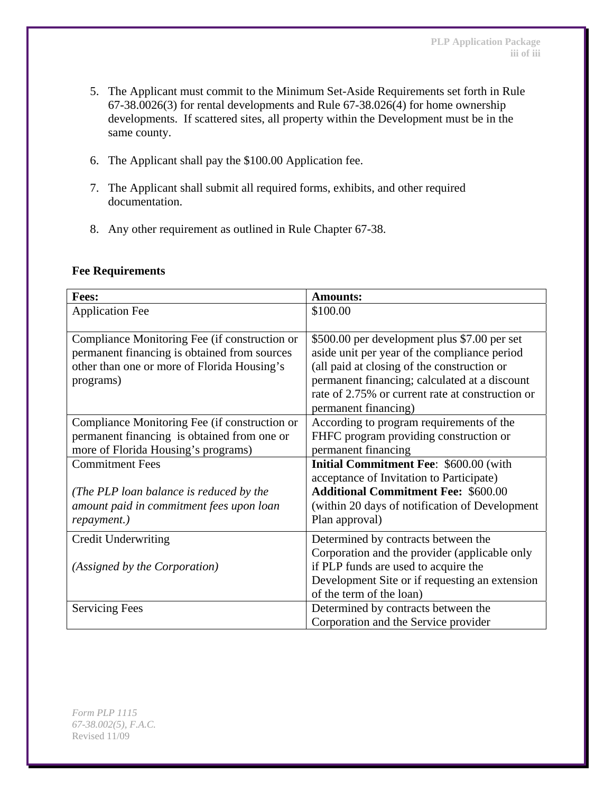- 5. The Applicant must commit to the Minimum Set-Aside Requirements set forth in Rule 67-38.0026(3) for rental developments and Rule 67-38.026(4) for home ownership developments. If scattered sites, all property within the Development must be in the same county.
- 6. The Applicant shall pay the \$100.00 Application fee.
- 7. The Applicant shall submit all required forms, exhibits, and other required documentation.
- 8. Any other requirement as outlined in Rule Chapter 67-38.

| <b>Fees:</b>                                  | <b>Amounts:</b>                                  |  |  |
|-----------------------------------------------|--------------------------------------------------|--|--|
| <b>Application Fee</b>                        | \$100.00                                         |  |  |
|                                               |                                                  |  |  |
| Compliance Monitoring Fee (if construction or | \$500.00 per development plus \$7.00 per set     |  |  |
| permanent financing is obtained from sources  | aside unit per year of the compliance period     |  |  |
| other than one or more of Florida Housing's   | (all paid at closing of the construction or      |  |  |
| programs)                                     | permanent financing; calculated at a discount    |  |  |
|                                               | rate of 2.75% or current rate at construction or |  |  |
|                                               | permanent financing)                             |  |  |
| Compliance Monitoring Fee (if construction or | According to program requirements of the         |  |  |
| permanent financing is obtained from one or   | FHFC program providing construction or           |  |  |
| more of Florida Housing's programs)           | permanent financing                              |  |  |
| <b>Commitment Fees</b>                        | <b>Initial Commitment Fee: \$600.00 (with</b>    |  |  |
|                                               | acceptance of Invitation to Participate)         |  |  |
| (The PLP loan balance is reduced by the       | <b>Additional Commitment Fee: \$600.00</b>       |  |  |
| amount paid in commitment fees upon loan      | (within 20 days of notification of Development   |  |  |
| repayment.)                                   | Plan approval)                                   |  |  |
| <b>Credit Underwriting</b>                    | Determined by contracts between the              |  |  |
|                                               | Corporation and the provider (applicable only    |  |  |
| (Assigned by the Corporation)                 | if PLP funds are used to acquire the             |  |  |
|                                               | Development Site or if requesting an extension   |  |  |
|                                               | of the term of the loan)                         |  |  |
| <b>Servicing Fees</b>                         | Determined by contracts between the              |  |  |
|                                               | Corporation and the Service provider             |  |  |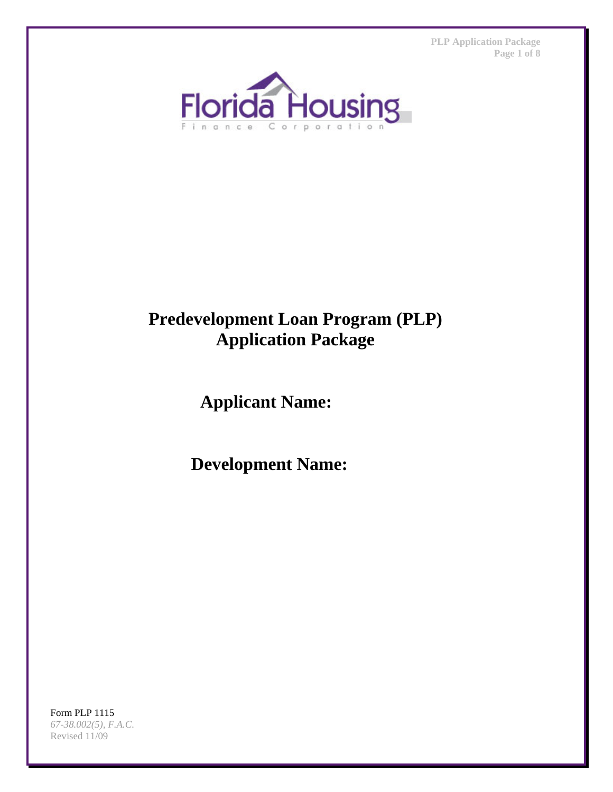**PLP Application Package Page 1 of 8** 



# **Predevelopment Loan Program (PLP) Application Package**

**Applicant Name:** 

**Development Name:**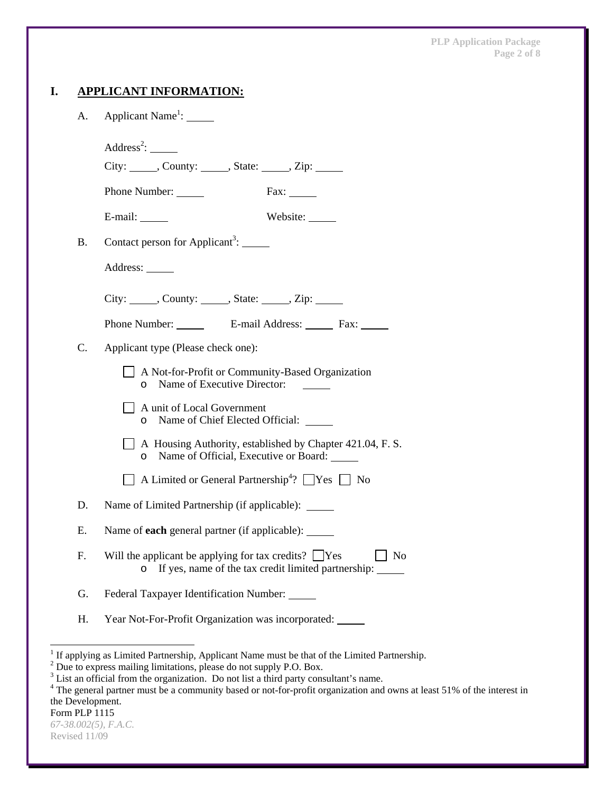| А. | Applicant Name <sup>1</sup> : ______                                                                                               |  |  |  |
|----|------------------------------------------------------------------------------------------------------------------------------------|--|--|--|
|    | Address <sup>2</sup> : $\_\_$<br>City: ______, County: ______, State: _____, Zip: ______                                           |  |  |  |
|    | Phone Number:<br>$\text{Fax:}\_\_\_\_\_\_\$                                                                                        |  |  |  |
|    | Website:<br>E-mail:                                                                                                                |  |  |  |
| Β. | Contact person for Applicant <sup>3</sup> : $\qquad \qquad$                                                                        |  |  |  |
|    | Address:                                                                                                                           |  |  |  |
|    | City: ______, County: ______, State: _____, Zip: _____                                                                             |  |  |  |
|    |                                                                                                                                    |  |  |  |
| C. | Applicant type (Please check one):                                                                                                 |  |  |  |
|    | $\Box$ A Not-for-Profit or Community-Based Organization<br>Name of Executive Director:<br>$\circ$                                  |  |  |  |
|    | A unit of Local Government<br>Name of Chief Elected Official:<br>O                                                                 |  |  |  |
|    | A Housing Authority, established by Chapter 421.04, F. S.<br>Name of Official, Executive or Board: ______<br>$\circ$               |  |  |  |
|    | $\Box$ A Limited or General Partnership <sup>4</sup> ? $\Box$ Yes $\Box$ No                                                        |  |  |  |
| D. | Name of Limited Partnership (if applicable): _____                                                                                 |  |  |  |
| Ε. | Name of <b>each</b> general partner (if applicable):                                                                               |  |  |  |
| F. | Will the applicant be applying for tax credits? $\Box$ Yes<br>No<br>If yes, name of the tax credit limited partnership:<br>$\circ$ |  |  |  |
| G. | Federal Taxpayer Identification Number: _____                                                                                      |  |  |  |
| Н. | Year Not-For-Profit Organization was incorporated:                                                                                 |  |  |  |

<sup>&</sup>lt;sup>1</sup> If applying as Limited Partnership, Applicant Name must be that of the Limited Partnership.<br>
<sup>2</sup> Due to express mailing limitations, please do not supply P.O. Box.<br>
<sup>3</sup> List an official from the organization. Do not l the Development.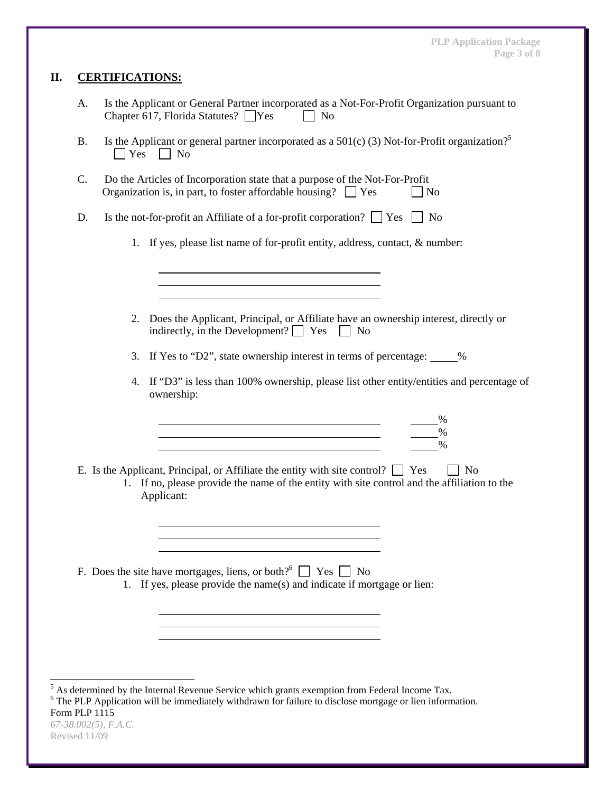# **II. CERTIFICATIONS:**

- A. Is the Applicant or General Partner incorporated as a Not-For-Profit Organization pursuant to Chapter 617, Florida Statutes?  $\Box$  Yes  $\Box$  No
- B. Is the Applicant or general partner incorporated as a  $501(c)$  (3) Not-for-Profit organization?<sup>5</sup>  $\Box$  Yes  $\Box$  No
- C. Do the Articles of Incorporation state that a purpose of the Not-For-Profit Organization is, in part, to foster affordable housing?  $\Box$  Yes  $\Box$  No
- D. Is the not-for-profit an Affiliate of a for-profit corporation?  $\Box$  Yes  $\Box$  No
	- 1. If yes, please list name of for-profit entity, address, contact, & number:
	- 2. Does the Applicant, Principal, or Affiliate have an ownership interest, directly or indirectly, in the Development?  $\Box$  Yes  $\Box$  No
	- 3. If Yes to "D2", state ownership interest in terms of percentage: 1894
	- 4. If "D3" is less than 100% ownership, please list other entity/entities and percentage of ownership:

%

E. Is the Applicant, Principal, or Affiliate the entity with site control?  $\Box$  Yes  $\Box$  No

 $\sim$  0% %

> 1. If no, please provide the name of the entity with site control and the affiliation to the Applicant:

F. Does the site have mortgages, liens, or both?<sup>6</sup>  $\Box$  Yes  $\Box$  No

1. If yes, please provide the name(s) and indicate if mortgage or lien:

<sup>&</sup>lt;sup>5</sup> As determined by the Internal Revenue Service which grants exemption from Federal Income Tax.

Form PLP 1115 <sup>6</sup> The PLP Application will be immediately withdrawn for failure to disclose mortgage or lien information.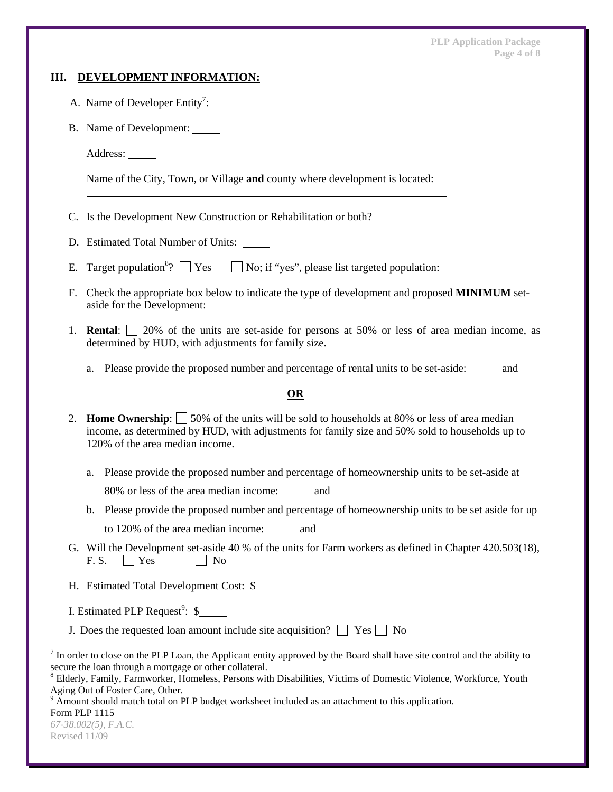**PLP Application Package Page 4 of 8** 

#### **III. DEVELOPMENT INFORMATION:**

- A. Name of Developer Entity<sup>7</sup>:
	- B. Name of Development:

Address:

Name of the City, Town, or Village **and** county where development is located:

- C. Is the Development New Construction or Rehabilitation or both?
- D. Estimated Total Number of Units:
- E. Target population<sup>8</sup>?  $\Box$  Yes  $\Box$  No; if "yes", please list targeted population:
- F. Check the appropriate box below to indicate the type of development and proposed **MINIMUM** setaside for the Development:
- 1. **Rental**: 20% of the units are set-aside for persons at 50% or less of area median income, as determined by HUD, with adjustments for family size.
	- a. Please provide the proposed number and percentage of rental units to be set-aside: and

#### **OR**

- 2. **Home Ownership**:  $\Box$  50% of the units will be sold to households at 80% or less of area median income, as determined by HUD, with adjustments for family size and 50% sold to households up to 120% of the area median income.
	- a. Please provide the proposed number and percentage of homeownership units to be set-aside at

80% or less of the area median income: and

- b. Please provide the proposed number and percentage of homeownership units to be set aside for up to 120% of the area median income: and
- G. Will the Development set-aside 40 % of the units for Farm workers as defined in Chapter 420.503(18),  $F.S. \qquad \qquad$  Yes  $\qquad \qquad$  No
- H. Estimated Total Development Cost: \$
- I. Estimated PLP Request<sup>9</sup>:  $\$
- J. Does the requested loan amount include site acquisition?  $\Box$  Yes  $\Box$  No

Form PLP 1115

l

 $<sup>7</sup>$  In order to close on the PLP Loan, the Applicant entity approved by the Board shall have site control and the ability to</sup> secure the loan through a mortgage or other collateral.

<sup>&</sup>lt;sup>8</sup> Elderly, Family, Farmworker, Homeless, Persons with Disabilities, Victims of Domestic Violence, Workforce, Youth Aging Out of Foster Care, Other.

<sup>&</sup>lt;sup>9</sup> Amount should match total on PLP budget worksheet included as an attachment to this application.

*<sup>67-38.002(5),</sup> F.A.C.*  Revised 11/09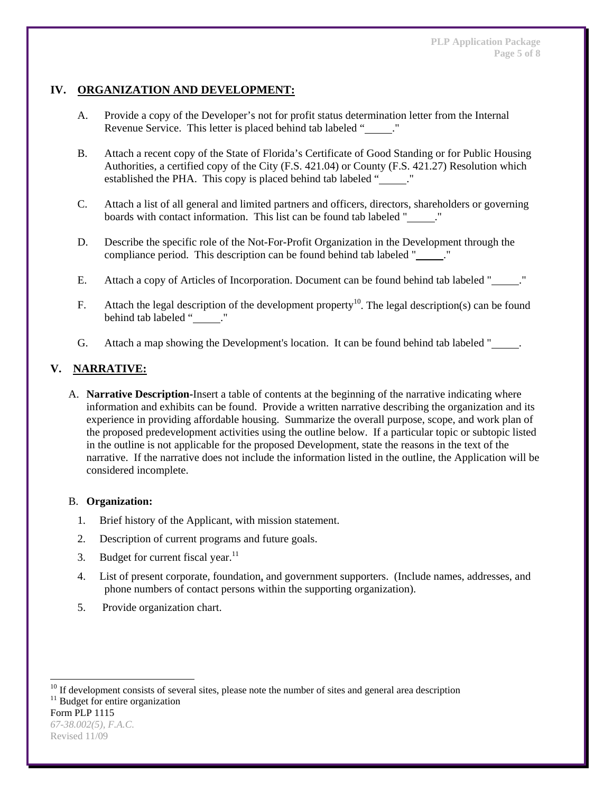# **IV. ORGANIZATION AND DEVELOPMENT:**

- A. Provide a copy of the Developer's not for profit status determination letter from the Internal Revenue Service. This letter is placed behind tab labeled " ."
- B. Attach a recent copy of the State of Florida's Certificate of Good Standing or for Public Housing Authorities, a certified copy of the City (F.S. 421.04) or County (F.S. 421.27) Resolution which established the PHA. This copy is placed behind tab labeled " ."
- C. Attach a list of all general and limited partners and officers, directors, shareholders or governing boards with contact information. This list can be found tab labeled " ."
- D. Describe the specific role of the Not-For-Profit Organization in the Development through the compliance period. This description can be found behind tab labeled " ."
- E. Attach a copy of Articles of Incorporation. Document can be found behind tab labeled "........"
- F. Attach the legal description of the development property<sup>10</sup>. The legal description(s) can be found behind tab labeled "
..."
- G. Attach a map showing the Development's location. It can be found behind tab labeled "...

# **V. NARRATIVE:**

A. **Narrative Description-**Insert a table of contents at the beginning of the narrative indicating where information and exhibits can be found. Provide a written narrative describing the organization and its experience in providing affordable housing. Summarize the overall purpose, scope, and work plan of the proposed predevelopment activities using the outline below. If a particular topic or subtopic listed in the outline is not applicable for the proposed Development, state the reasons in the text of the narrative. If the narrative does not include the information listed in the outline, the Application will be considered incomplete.

#### B. **Organization:**

- 1. Brief history of the Applicant, with mission statement.
- 2. Description of current programs and future goals.
- 3. Budget for current fiscal year. $11$
- 4. List of present corporate, foundation, and government supporters. (Include names, addresses, and phone numbers of contact persons within the supporting organization).
- 5. Provide organization chart.

l

<sup>&</sup>lt;sup>10</sup> If development consists of several sites, please note the number of sites and general area description  $11$  Budget for entire organization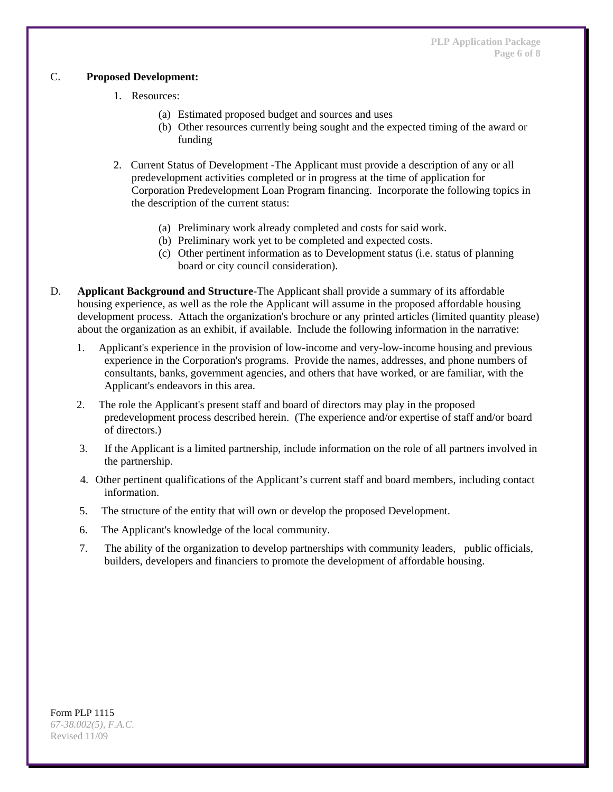## C. **Proposed Development:**

- 1. Resources:
	- (a) Estimated proposed budget and sources and uses
	- (b) Other resources currently being sought and the expected timing of the award or funding
- 2. Current Status of Development -The Applicant must provide a description of any or all predevelopment activities completed or in progress at the time of application for Corporation Predevelopment Loan Program financing. Incorporate the following topics in the description of the current status:
	- (a) Preliminary work already completed and costs for said work.
	- (b) Preliminary work yet to be completed and expected costs.
	- (c) Other pertinent information as to Development status (i.e. status of planning board or city council consideration).
- D. **Applicant Background and Structure**-The Applicant shall provide a summary of its affordable housing experience, as well as the role the Applicant will assume in the proposed affordable housing development process. Attach the organization's brochure or any printed articles (limited quantity please) about the organization as an exhibit, if available. Include the following information in the narrative:
	- 1. Applicant's experience in the provision of low-income and very-low-income housing and previous experience in the Corporation's programs. Provide the names, addresses, and phone numbers of consultants, banks, government agencies, and others that have worked, or are familiar, with the Applicant's endeavors in this area.
	- 2. The role the Applicant's present staff and board of directors may play in the proposed predevelopment process described herein. (The experience and/or expertise of staff and/or board of directors.)
	- 3. If the Applicant is a limited partnership, include information on the role of all partners involved in the partnership.
	- 4. Other pertinent qualifications of the Applicant's current staff and board members, including contact information.
	- 5. The structure of the entity that will own or develop the proposed Development.
	- 6. The Applicant's knowledge of the local community.
	- 7. The ability of the organization to develop partnerships with community leaders, public officials, builders, developers and financiers to promote the development of affordable housing.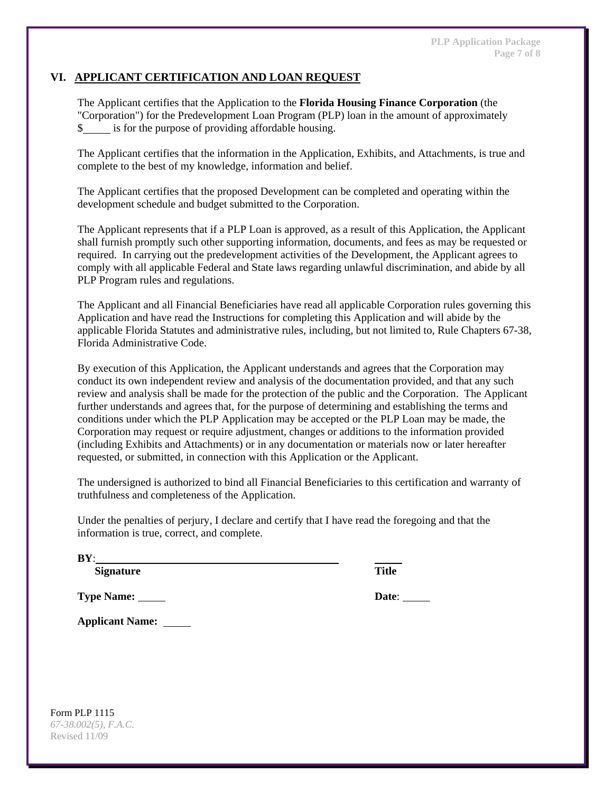# **VI. APPLICANT CERTIFICATION AND LOAN REQUEST**

The Applicant certifies that the Application to the **Florida Housing Finance Corporation** (the "Corporation") for the Predevelopment Loan Program (PLP) loan in the amount of approximately \$ is for the purpose of providing affordable housing.

The Applicant certifies that the information in the Application, Exhibits, and Attachments, is true and complete to the best of my knowledge, information and belief.

The Applicant certifies that the proposed Development can be completed and operating within the development schedule and budget submitted to the Corporation.

The Applicant represents that if a PLP Loan is approved, as a result of this Application, the Applicant shall furnish promptly such other supporting information, documents, and fees as may be requested or required. In carrying out the predevelopment activities of the Development, the Applicant agrees to comply with all applicable Federal and State laws regarding unlawful discrimination, and abide by all PLP Program rules and regulations.

The Applicant and all Financial Beneficiaries have read all applicable Corporation rules governing this Application and have read the Instructions for completing this Application and will abide by the applicable Florida Statutes and administrative rules, including, but not limited to, Rule Chapters 67-38, Florida Administrative Code.

By execution of this Application, the Applicant understands and agrees that the Corporation may conduct its own independent review and analysis of the documentation provided, and that any such review and analysis shall be made for the protection of the public and the Corporation. The Applicant further understands and agrees that, for the purpose of determining and establishing the terms and conditions under which the PLP Application may be accepted or the PLP Loan may be made, the Corporation may request or require adjustment, changes or additions to the information provided (including Exhibits and Attachments) or in any documentation or materials now or later hereafter requested, or submitted, in connection with this Application or the Applicant.

The undersigned is authorized to bind all Financial Beneficiaries to this certification and warranty of truthfulness and completeness of the Application.

Under the penalties of perjury, I declare and certify that I have read the foregoing and that the information is true, correct, and complete.

**BY**:

 **Signature Title**

**Type Name: Date**:

**Applicant Name:**